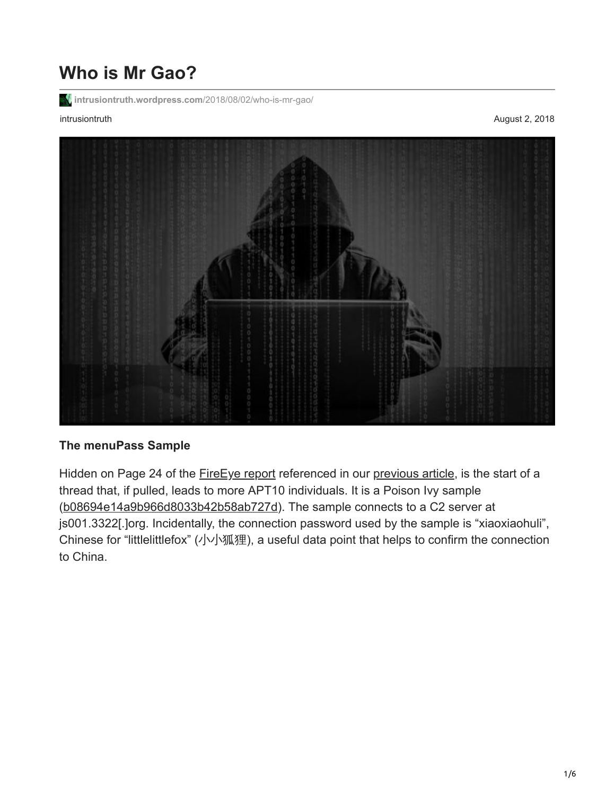# **Who is Mr Gao?**

**[intrusiontruth.wordpress.com](https://intrusiontruth.wordpress.com/2018/08/02/who-is-mr-gao/)**/2018/08/02/who-is-mr-gao/

intrusiontruth August 2, 2018



## **The menuPass Sample**

Hidden on Page 24 of the **[FireEye report](https://www.fireeye.com/blog/threat-research/2013/08/pivy-assessing-damage-and-extracting-intel.html)** referenced in our [previous article](https://intrusiontruth.wordpress.com/?p=213), is the start of a thread that, if pulled, leads to more APT10 individuals. It is a Poison Ivy sample ([b08694e14a9b966d8033b42b58ab727d\)](https://www.virustotal.com/en/file/af69ad95e6564d682b0f8220dd8c4cca61b60227add59c883eea960350747084/analysis/). The sample connects to a C2 server at js001.3322[.]org. Incidentally, the connection password used by the sample is "xiaoxiaohuli", Chinese for "littlelittlefox" (小小狐狸), a useful data point that helps to confirm the connection to China.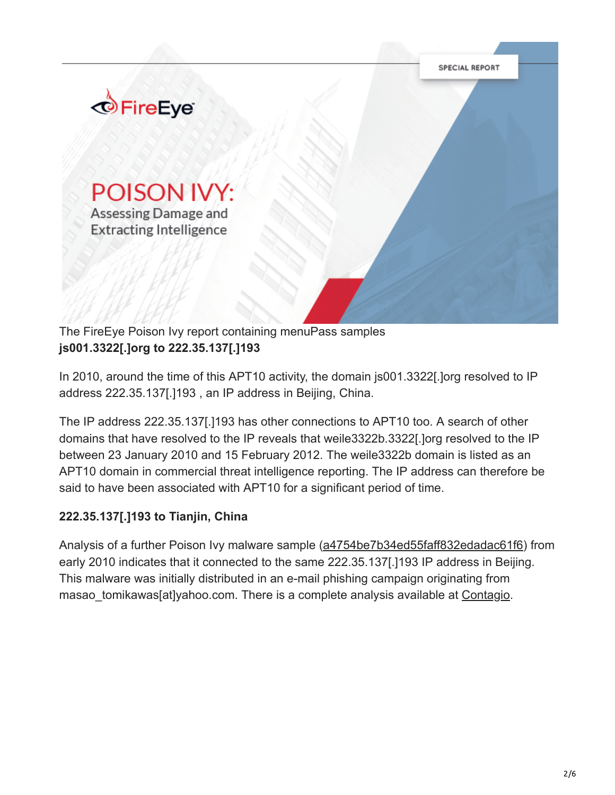

The FireEye Poison Ivy report containing menuPass samples **js001.3322[.]org to 222.35.137[.]193**

In 2010, around the time of this APT10 activity, the domain js001.3322[.]org resolved to IP address 222.35.137[.]193 , an IP address in Beijing, China.

The IP address 222.35.137[.]193 has other connections to APT10 too. A search of other domains that have resolved to the IP reveals that weile3322b.3322[.]org resolved to the IP between 23 January 2010 and 15 February 2012. The weile3322b domain is listed as an APT10 domain in commercial threat intelligence reporting. The IP address can therefore be said to have been associated with APT10 for a significant period of time.

### **222.35.137[.]193 to Tianjin, China**

Analysis of a further Poison Ivy malware sample ([a4754be7b34ed55faff832edadac61f6](https://www.virustotal.com/en/file/81d634888b069313492b30f737ed07085f335d1cc29964050514412bf5d4b7d1/analysis/1265261874/)) from early 2010 indicates that it connected to the same 222.35.137[.]193 IP address in Beijing. This malware was initially distributed in an e-mail phishing campaign originating from masao tomikawas[at]yahoo.com. There is a complete analysis available at [Contagio.](http://contagiodump.blogspot.com/2010/02/feb-1-darkmoon-b-videoexe-with.html)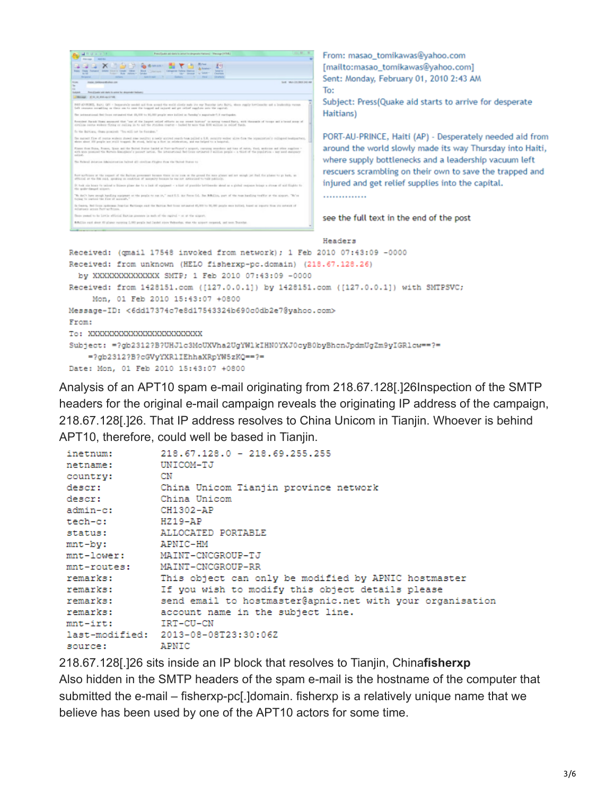```
SANDAR
                                                                                                                       From: masao_tomikawas@yahoo.com
   مسموان <u>شاه x</u>
                                                                                                                       [mailto:masao_tomikawas@yahoo.com]
                                                                                                                       Sent: Monday, February 01, 2010 2:43 AM
                                                                                                                       To:
  hape bodyale strate is an<br><mark>U</mark>Mospi (2) 0, 0, 00 april 0)
                                                                                                                       Subject: Press(Quake aid starts to arrive for desperate
   NET-(ORING, Bak). QFI - Imperiody seeks as for aroust the weld shorty sub the my Tweeter arts Bak), stars.<br>Definements counting on their own to suce the trappel and injured and get relief regulate arts the report.
                                                                                                                       Haitians)
                       capital that 49,000 to 90,000 people are builed to furnise's aux
       .<br>One flowed them assumed that "one of the Impact online effects in our count history" is soming toward Bara, with<br>As recove without firing or railing in to add the studion counter - haded by some than 4000 willing: in rai
    the Bullians, these prescripts "The will not be floorable
                                                                                                                       PORT-AU-PRINCE, Haiti (AP) - Desperately needed aid from
   Be named fine of nome scrient sheed and results a neity accord reach tempelled a UR, accurity volver sizes from the organization's collopsed be start in the company of the start of the start of the start of the start of th
                                                                                                                       around the world slowly made its way Thursday into Haiti,
   Flower find Dung, Powen, Span and the Buret Dates Sanish at Fort-authored's acquist, recepts searchers and twist, Post, anderes and other supplies -<br>Ach anno powined the Autum Emission's person series. The international Be
                                                                                                                       where supply bottlenecks and a leadership vacuum left
                                                                                                                      rescuers scrambling on their own to save the trapped and
   functions at the request of the fluition presences become there is no such as the proced for more planes well are mongh just fluit dist planes to po both, we<br>Afficial at the fits rold, speaking on contrium of mergerly beca
  afficial at the RM rold, gentre on contrim at mayary boson to var ne astociant to taik public).<br>It has an loan to uning a blane plane de to a last of epipeert – a kist of possible bettlemike deed as a pitch<br>The grate-forme
                                                                                                                      injured and get relief supplies into the capital.
   to any term weak to the company or the peak to as it," set 0.5 are form (a). But BBCits, part of the teachership verific at the singer. "Whe<br>United to exclud the file of annuals,"
                                                                                                                       ..............
   tipus to common the first of animals.<br>In them, but those political function flattings and the furture but from automed 65,000 to 95,000 pages was hilled; based on payors then you interest of<br>Williams are on Portugalisms.
    box reset to be lottle efficial flatia greenes in such of the egital v.m or the signer
                                                                                                                      see the full text in the end of the post
   Millio rat des 40 plane rateira LIRI pode hal lastel rice Veberlas, the the signet of
                                                                                                                      Headers
Received: (gmail 17548 invoked from network); 1 Feb 2010 07:43:09 -0000
Received: from unknown (HELO fisherxp-pc.domain) (218.67.128.26)
    by XXXXXXXXXXXXXX SMTP; 1 Feb 2010 07:43:09 -0000
Received: from 1428151.com ([127.0.0.1]) by 1428151.com ([127.0.0.1]) with SMTPSVC;
        Mon, 01 Feb 2010 15:43:07 +0800
Message-ID: <6dd17374c7e8d17543324b690c0db2e7@yahoo.com>
From:
To: XXXXXXXXXXXXXXXXXXXXXXXXX
Subject: =?gb2312?B?UHJlc3MoUXVha2UgYWlkIHN0YXJ0cyB0byBhcnJpdmUgZm9yIGRlcw == ?=
         =?gb2312?B?cGVyYXRlIEhhaXRpYW5zKQ == ?=
Date: Mon, 01 Feb 2010 15:43:07 +0800
```
Analysis of an APT10 spam e-mail originating from 218.67.128[.]26Inspection of the SMTP headers for the original e-mail campaign reveals the originating IP address of the campaign, 218.67.128[.]26. That IP address resolves to China Unicom in Tianjin. Whoever is behind APT10, therefore, could well be based in Tianjin.

```
218.67.128.0 - 218.69.255.255
inetnum:
               UNICOM-TJ
netname:
country:
               CN
              China Unicom Tianjin province network
descr:
descr:
              China Unicom
admin-c:
              CH1302-AP
tech-c:
              HZ19-AP
status:
              ALLOCATED PORTABLE
mnt-bv:
              APNIC-HM
mnt-lower:
              MAINT-CNCGROUP-TJ
mnt-routes:
               MAINT-CNCGROUP-RR
remarks:
               This object can only be modified by APNIC hostmaster
              If you wish to modify this object details please
remarks:
remarks:
              send email to hostmaster@apnic.net with your organisation
remarks:
              account name in the subject line.
               IRT-CU-CN
mnt-irt:
last-modified: 2013-08-08T23:30:06Z
source:
               APNIC
```
218.67.128[.]26 sits inside an IP block that resolves to Tianjin, China**fisherxp** Also hidden in the SMTP headers of the spam e-mail is the hostname of the computer that submitted the e-mail – fisherxp-pc[.]domain. fisherxp is a relatively unique name that we believe has been used by one of the APT10 actors for some time.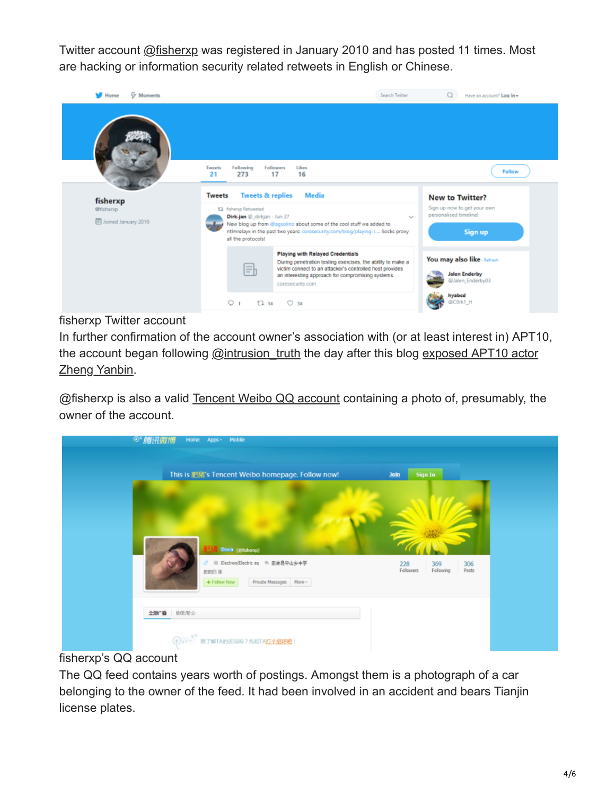Twitter account [@fisherxp](https://twitter.com/fisherxp) was registered in January 2010 and has posted 11 times. Most are hacking or information security related retweets in English or Chinese.



#### fisherxp Twitter account

In further confirmation of the account owner's association with (or at least interest in) APT10, [the account began following @intrusion\\_truth the day after this blog exposed APT10 actor](https://intrusiontruth.wordpress.com/2018/07/30/who-is-mr-zheng/) Zheng Yanbin.

@fisherxp is also a valid [Tencent Weibo QQ account](http://t.qq.com/fisherxp) containing a photo of, presumably, the owner of the account.

| <sup>⊙</sup> "腾讯微博<br>Home Apps - Mobile                                                                                                                                 |                                                                         |
|--------------------------------------------------------------------------------------------------------------------------------------------------------------------------|-------------------------------------------------------------------------|
| This is 肥猪's Tencent Weibo homepage. Follow now!<br><b>Quest</b> (@fishenp)<br>d" m Electron/Electric eq + 田林县平山乡中学<br>肥肥的猪<br>Private Messages   More -<br>+ Follow Now | Sign In<br>Join<br>228<br>369<br>306<br>Followers<br>Following<br>Posts |
| 全部广播 收听/听众                                                                                                                                                               |                                                                         |

#### fisherxp's QQ account

The QQ feed contains years worth of postings. Amongst them is a photograph of a car belonging to the owner of the feed. It had been involved in an accident and bears Tianjin license plates.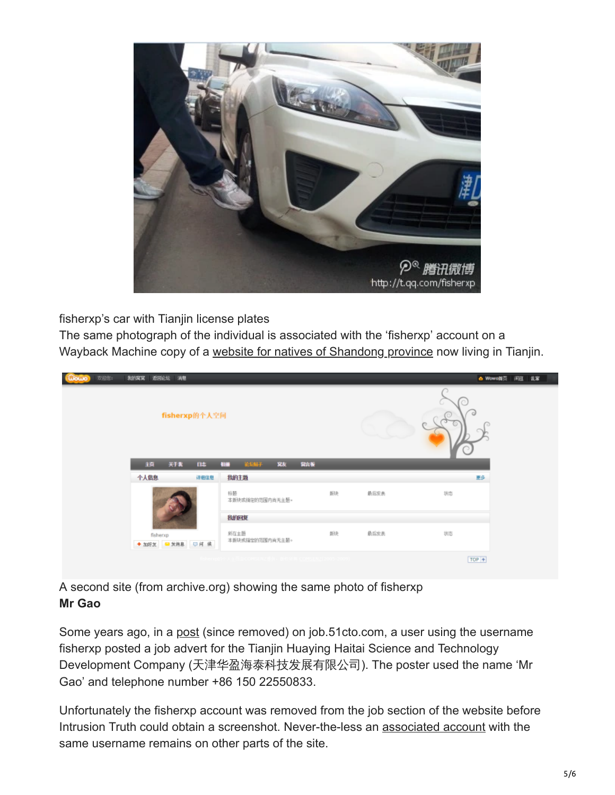

fisherxp's car with Tianjin license plates

The same photograph of the individual is associated with the 'fisherxp' account on a Wayback Machine copy of a [website for natives of Shandong province](https://web.archive.org/web/20110113022538/http://tjsdr.5d6d.com/space-uid-1304.html) now living in Tianjin.

| 欢迎您: | 制的窝窝 返回论坛 消息 |                |                         |     |      | e Wowoni页   闲逛   乱窜 |  |
|------|--------------|----------------|-------------------------|-----|------|---------------------|--|
|      |              | fisherxp的个人空间  |                         |     |      |                     |  |
|      | 通            | 天下我<br>毗       | <b>TREAT</b><br>琳<br>相接 | 留高板 |      |                     |  |
|      | 个人信息         | 详细信息           | 我的主题                    |     |      | 更多                  |  |
|      |              |                | 标题<br>本新块索指定的范围内尚无主题。   | 脱   | 最后发表 | 状态                  |  |
|      |              |                | 我的回复                    |     |      |                     |  |
|      | fisherxp     | ◆加好友 ■发泡期 □何 读 | 所在主题<br>本质块或指定的范围内尚无主题。 | 朗决  | 最后发表 | 状态                  |  |
|      |              |                |                         |     |      | $TOP +$             |  |

A second site (from archive.org) showing the same photo of fisherxp **Mr Gao**

Some years ago, in a [post](http://job.51cto.com/info/company_info.php?username=fisherxp) (since removed) on job.51cto.com, a user using the username fisherxp posted a job advert for the Tianjin Huaying Haitai Science and Technology Development Company (天津华盈海泰科技发展有限公司). The poster used the name 'Mr Gao' and telephone number +86 150 22550833.

Unfortunately the fisherxp account was removed from the job section of the website before Intrusion Truth could obtain a screenshot. Never-the-less an [associated account](http://down.51cto.com/424761) with the same username remains on other parts of the site.